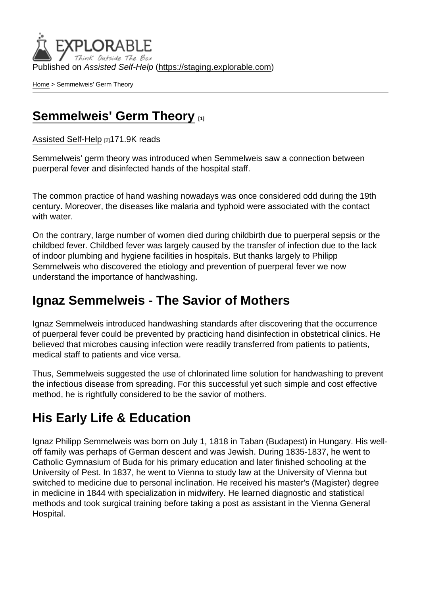Published on Assisted Self-Help [\(https://staging.explorable.com](https://staging.explorable.com))

[Home](https://staging.explorable.com/en) > Semmelweis' Germ Theory

#### [Semmelweis' Germ Theory](https://staging.explorable.com/en/semmelweis-germ-theory) [1]

[Assisted Self-Help](https://staging.explorable.com/en) [2]171.9K reads

Semmelweis' germ theory was introduced when Semmelweis saw a connection between puerperal fever and disinfected hands of the hospital staff.

The common practice of hand washing nowadays was once considered odd during the 19th century. Moreover, the diseases like malaria and typhoid were associated with the contact with water.

On the contrary, large number of women died during childbirth due to puerperal sepsis or the childbed fever. Childbed fever was largely caused by the transfer of infection due to the lack of indoor plumbing and hygiene facilities in hospitals. But thanks largely to Philipp Semmelweis who discovered the etiology and prevention of puerperal fever we now understand the importance of handwashing.

#### Ignaz Semmelweis - The Savior of Mothers

Ignaz Semmelweis introduced handwashing standards after discovering that the occurrence of puerperal fever could be prevented by practicing hand disinfection in obstetrical clinics. He believed that microbes causing infection were readily transferred from patients to patients, medical staff to patients and vice versa.

Thus, Semmelweis suggested the use of chlorinated lime solution for handwashing to prevent the infectious disease from spreading. For this successful yet such simple and cost effective method, he is rightfully considered to be the savior of mothers.

### His Early Life & Education

Ignaz Philipp Semmelweis was born on July 1, 1818 in Taban (Budapest) in Hungary. His welloff family was perhaps of German descent and was Jewish. During 1835-1837, he went to Catholic Gymnasium of Buda for his primary education and later finished schooling at the University of Pest. In 1837, he went to Vienna to study law at the University of Vienna but switched to medicine due to personal inclination. He received his master's (Magister) degree in medicine in 1844 with specialization in midwifery. He learned diagnostic and statistical methods and took surgical training before taking a post as assistant in the Vienna General Hospital.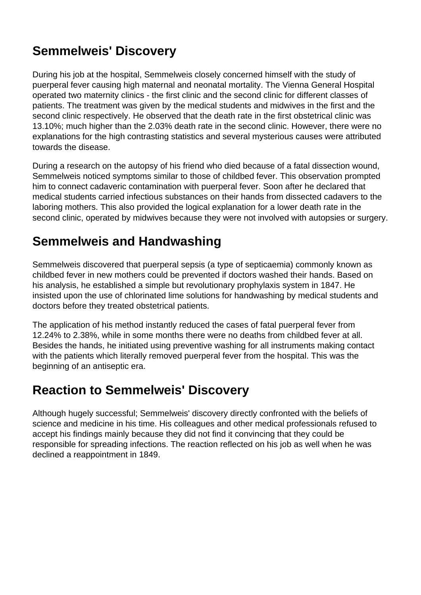# **Semmelweis' Discovery**

During his job at the hospital, Semmelweis closely concerned himself with the study of puerperal fever causing high maternal and neonatal mortality. The Vienna General Hospital operated two maternity clinics - the first clinic and the second clinic for different classes of patients. The treatment was given by the medical students and midwives in the first and the second clinic respectively. He observed that the death rate in the first obstetrical clinic was 13.10%; much higher than the 2.03% death rate in the second clinic. However, there were no explanations for the high contrasting statistics and several mysterious causes were attributed towards the disease.

During a research on the autopsy of his friend who died because of a fatal dissection wound, Semmelweis noticed symptoms similar to those of childbed fever. This observation prompted him to connect cadaveric contamination with puerperal fever. Soon after he declared that medical students carried infectious substances on their hands from dissected cadavers to the laboring mothers. This also provided the logical explanation for a lower death rate in the second clinic, operated by midwives because they were not involved with autopsies or surgery.

### **Semmelweis and Handwashing**

Semmelweis discovered that puerperal sepsis (a type of septicaemia) commonly known as childbed fever in new mothers could be prevented if doctors washed their hands. Based on his analysis, he established a simple but revolutionary prophylaxis system in 1847. He insisted upon the use of chlorinated lime solutions for handwashing by medical students and doctors before they treated obstetrical patients.

The application of his method instantly reduced the cases of fatal puerperal fever from 12.24% to 2.38%, while in some months there were no deaths from childbed fever at all. Besides the hands, he initiated using preventive washing for all instruments making contact with the patients which literally removed puerperal fever from the hospital. This was the beginning of an antiseptic era.

### **Reaction to Semmelweis' Discovery**

Although hugely successful; Semmelweis' discovery directly confronted with the beliefs of science and medicine in his time. His colleagues and other medical professionals refused to accept his findings mainly because they did not find it convincing that they could be responsible for spreading infections. The reaction reflected on his job as well when he was declined a reappointment in 1849.